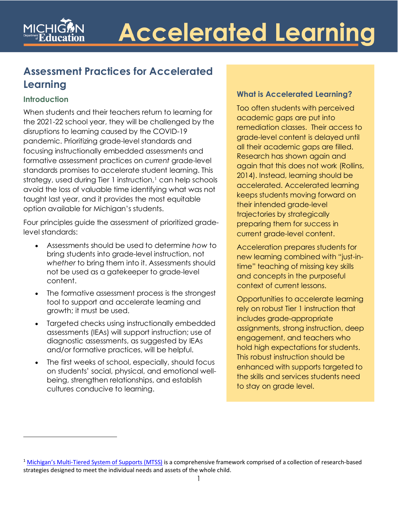### **Assessment Practices for Accelerated Learning**

### **Introduction**

When students and their teachers return to learning for the 2021-22 school year, they will be challenged by the disruptions to learning caused by the COVID-19 pandemic. Prioritizing grade-level standards and focusing instructionally embedded assessments and formative assessment practices on *current* grade-level standards promises to accelerate student learning. This strategy, used during Tier [1](#page-0-0) instruction, $1 \text{ can help schools}$ avoid the loss of valuable time identifying what was not taught last year, and it provides the most equitable option available for Michigan's students.

Four principles guide the assessment of prioritized gradelevel standards:

- Assessments should be used to determine *how* to bring students into grade-level instruction, not *whether* to bring them into it. Assessments should not be used as a gatekeeper to grade-level content.
- The formative assessment process is the strongest tool to support and accelerate learning and growth; it must be used.
- Targeted checks using instructionally embedded assessments (IEAs) will support instruction; use of diagnostic assessments, as suggested by IEAs and/or formative practices, will be helpful.
- The first weeks of school, especially, should focus on students' social, physical, and emotional wellbeing, strengthen relationships, and establish cultures conducive to learning.

#### **What is Accelerated Learning?**

Too often students with perceived academic gaps are put into remediation classes. Their access to grade-level content is delayed until all their academic gaps are filled. Research has shown again and again that this does not work (Rollins, 2014). Instead, learning should be accelerated. Accelerated learning keeps students moving forward on their intended grade-level trajectories by strategically preparing them for success in current grade-level content.

Acceleration prepares students for new learning combined with "just-intime" teaching of missing key skills and concepts in the purposeful context of current lessons.

Opportunities to accelerate learning rely on robust Tier 1 instruction that includes grade-appropriate assignments, strong instruction, deep engagement, and teachers who hold high expectations for students. This robust instruction should be enhanced with supports targeted to the skills and services students need to stay on grade level.

<span id="page-0-0"></span><sup>&</sup>lt;sup>1</sup> [Michigan's Multi-Tiered System of Supports \(MTSS\)](https://www.michigan.gov/mde/0,4615,7-140-81376_86454---,00.html) is a comprehensive framework comprised of a collection of research-based strategies designed to meet the individual needs and assets of the whole child.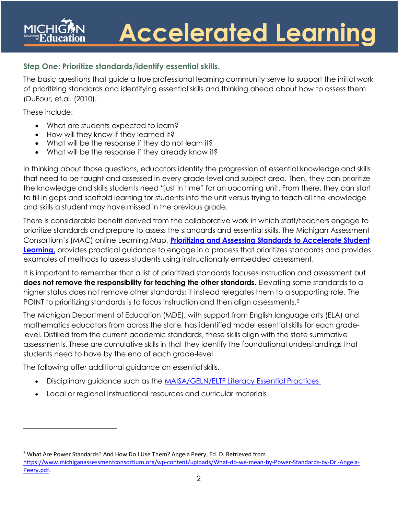### **Step One: Prioritize standards/identify essential skills.**

The basic questions that guide a true professional learning community serve to support the initial work of prioritizing standards and identifying essential skills and thinking ahead about how to assess them (DuFour, et.al. (2010).

These include:

- What are students expected to learn?
- How will they know if they learned it?
- What will be the response if they do not learn it?
- What will be the response if they already know it?

In thinking about those questions, educators identify the progression of essential knowledge and skills that need to be taught and assessed in every grade-level and subject area. Then, they can prioritize the knowledge and skills students need "just in time" for an upcoming unit. From there, they can start to fill in gaps and scaffold learning for students into the unit versus trying to teach all the knowledge and skills a student may have missed in the previous grade.

There is considerable benefit derived from the collaborative work in which staff/teachers engage to prioritize standards and prepare to assess the standards and essential skills. The Michigan Assessment Consortium's (MAC) online Learning Map, **[Prioritizing and Assessing Standards to Accelerate Student](https://www.michiganassessmentconsortium.org/wp-content/uploads/Learning-Map-Prioritizing-and-Assessing-Standards-to-Accelerate-Student-Learning.pdf)  [Learning,](https://www.michiganassessmentconsortium.org/wp-content/uploads/Learning-Map-Prioritizing-and-Assessing-Standards-to-Accelerate-Student-Learning.pdf)** provides practical guidance to engage in a process that prioritizes standards and provides examples of methods to assess students using instructionally embedded assessment.

It is important to remember that a list of prioritized standards focuses instruction and assessment but **does not remove the responsibility for teaching the other standards.** Elevating some standards to a higher status does not remove other standards; it instead relegates them to a supporting role. The POINT to prioritizing standards is to focus instruction and then align assessments[.2](#page-1-0)

The Michigan Department of Education (MDE), with support from English language arts (ELA) and mathematics educators from across the state, has identified model essential skills for each gradelevel. Distilled from the current academic standards, these skills align with the state summative assessments. These are cumulative skills in that they identify the foundational understandings that students need to have by the end of each grade-level.

The following offer additional guidance on essential skills.

- Disciplinary guidance such as the **MAISA/GELN/ELTF Literacy Essential Practices**
- Local or regional instructional resources and curricular materials

<span id="page-1-0"></span><sup>2</sup> What Are Power Standards? And How Do I Use Them? Angela Peery, Ed. D. Retrieved from [https://www.michiganassessmentconsortium.org/wp-content/uploads/What-do-we-mean-by-Power-Standards-by-Dr.-Angela-](https://www.michiganassessmentconsortium.org/wp-content/uploads/What-do-we-mean-by-Power-Standards-by-Dr.-Angela-Peery.pdf)[Peery.pdf.](https://www.michiganassessmentconsortium.org/wp-content/uploads/What-do-we-mean-by-Power-Standards-by-Dr.-Angela-Peery.pdf)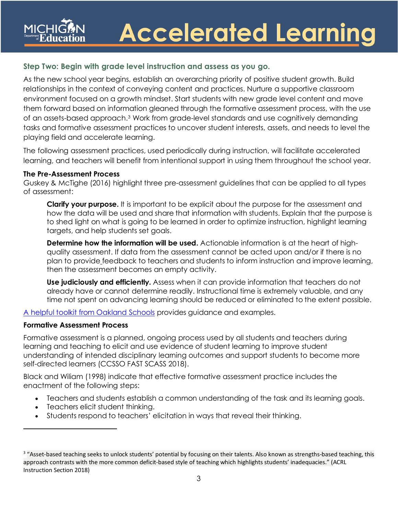### **Step Two: Begin with grade level instruction and assess as you go.**

As the new school year begins, establish an overarching priority of positive student growth. Build relationships in the context of conveying content and practices. Nurture a supportive classroom environment focused on a growth mindset. Start students with new grade level content and move them forward based on information gleaned through the formative assessment process, with the use of an assets-based approach.[3](#page-2-0) Work from grade-level standards and use cognitively demanding tasks and formative assessment practices to uncover student interests, assets, and needs to level the playing field and accelerate learning.

The following assessment practices, used periodically during instruction, will facilitate accelerated learning, and teachers will benefit from intentional support in using them throughout the school year.

#### **The Pre-Assessment Process**

Guskey & McTighe (2016) highlight three pre-assessment guidelines that can be applied to all types of assessment:

**Clarify your purpose.** It is important to be explicit about the purpose for the assessment and how the data will be used and share that information with students. Explain that the purpose is to shed light on what is going to be learned in order to optimize instruction, highlight learning targets, and help students set goals.

**Determine how the information will be used.** Actionable information is at the heart of highquality assessment. If data from the assessment cannot be acted upon and/or if there is no plan to provide feedback to teachers and students to inform instruction and improve learning, then the assessment becomes an empty activity.

**Use judiciously and efficiently.** Assess when it can provide information that teachers do not already have or cannot determine readily. Instructional time is extremely valuable, and any time not spent on advancing learning should be reduced or eliminated to the extent possible.

A helpful [toolkit from Oakland Schools](https://drive.google.com/file/d/1tCytuRBipB4n2VBhlXRpWmbAiN-VhuVX/view?usp=sharing) provides guidance and examples.

#### **Formative Assessment Process**

Formative assessment is a planned, ongoing process used by all students and teachers during learning and teaching to elicit and use evidence of student learning to improve student understanding of intended disciplinary learning outcomes and support students to become more self-directed learners (CCSSO FAST SCASS 2018).

Black and Wiliam (1998) indicate that effective formative assessment practice includes the enactment of the following steps:

- Teachers and students establish a common understanding of the task and its learning goals.
- Teachers elicit student thinking.
- Students respond to teachers' elicitation in ways that reveal their thinking.

<span id="page-2-0"></span><sup>&</sup>lt;sup>3</sup> "Asset-based teaching seeks to unlock students' potential by focusing on their talents. Also known as strengths-based teaching, this approach contrasts with the more common deficit-based style of teaching which highlights students' inadequacies." (ACRL Instruction Section 2018)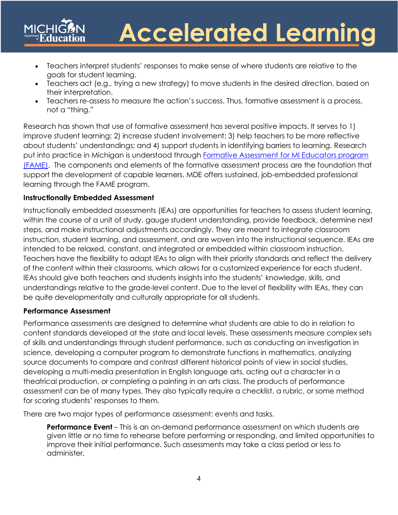- Teachers interpret students' responses to make sense of where students are relative to the goals for student learning.
- Teachers act (e.g., trying a new strategy) to move students in the desired direction, based on their interpretation.
- Teachers re-assess to measure the action's success. Thus, formative assessment is a process, not a "thing."

Research has shown that use of formative assessment has several positive impacts. It serves to 1) improve student learning; 2) increase student involvement; 3) help teachers to be more reflective about students' understandings; and 4) support students in identifying barriers to learning. Research put into practice in Michigan is understood through [Formative Assessment for MI Educators program](https://famemichigan.org/)  [\(FAME\).](https://famemichigan.org/) The components and elements of the formative assessment process are the foundation that support the development of capable learners. MDE offers sustained, job-embedded professional learning through the FAME program.

#### **Instructionally Embedded Assessment**

Instructionally embedded assessments (IEAs) are opportunities for teachers to assess student learning, within the course of a unit of study, gauge student understanding, provide feedback, determine next steps, and make instructional adjustments accordingly. They are meant to integrate classroom instruction, student learning, and assessment, and are woven into the instructional sequence. IEAs are intended to be relaxed, constant, and integrated or embedded within classroom instruction. Teachers have the flexibility to adapt IEAs to align with their priority standards and reflect the delivery of the content within their classrooms, which allows for a customized experience for each student. IEAs should give both teachers and students insights into the students' knowledge, skills, and understandings relative to the grade-level content. Due to the level of flexibility with IEAs, they can be quite developmentally and culturally appropriate for all students.

#### **Performance Assessment**

Performance assessments are designed to determine what students are able to do in relation to content standards developed at the state and local levels. These assessments measure complex sets of skills and understandings through student performance, such as conducting an investigation in science, developing a computer program to demonstrate functions in mathematics, analyzing source documents to compare and contrast different historical points of view in social studies, developing a multi-media presentation in English language arts, acting out a character in a theatrical production, or completing a painting in an arts class. The products of performance assessment can be of many types. They also typically require a checklist, a rubric, or some method for scoring students' responses to them.

There are two major types of performance assessment: events and tasks.

**Performance Event** – This is an on-demand performance assessment on which students are given little or no time to rehearse before performing or responding, and limited opportunities to improve their initial performance. Such assessments may take a class period or less to administer.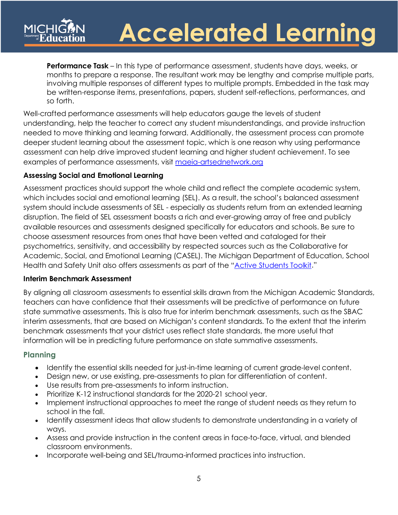**Performance Task** – In this type of performance assessment, students have days, weeks, or months to prepare a response. The resultant work may be lengthy and comprise multiple parts, involving multiple responses of different types to multiple prompts. Embedded in the task may be written-response items, presentations, papers, student self-reflections, performances, and so forth.

Well-crafted performance assessments will help educators gauge the levels of student understanding, help the teacher to correct any student misunderstandings, and provide instruction needed to move thinking and learning forward. Additionally, the assessment process can promote deeper student learning about the assessment topic, which is one reason why using performance assessment can help drive improved student learning and higher student achievement. To see examples of performance assessments, visit [maeia-artsednetwork.org](http://www.maeia-artsednetwork.org/)

#### **Assessing Social and Emotional Learning**

Assessment practices should support the whole child and reflect the complete academic system, which includes social and emotional learning (SEL). As a result, the school's balanced assessment system should include assessments of SEL - especially as students return from an extended learning disruption. The field of SEL assessment boasts a rich and ever-growing array of free and publicly available resources and assessments designed specifically for educators and schools. Be sure to choose assessment resources from ones that have been vetted and cataloged for their psychometrics, sensitivity, and accessibility by respected sources such as the Collaborative for Academic, Social, and Emotional Learning (CASEL). The Michigan Department of Education, School Health and Safety Unit also offers assessments as part of the ["Active Students Toolkit.](https://www.michigan.gov/mde/0,4615,7-140-74638_67383_67394---,00.html)"

#### **Interim Benchmark Assessment**

By aligning all classroom assessments to essential skills drawn from the Michigan Academic Standards, teachers can have confidence that their assessments will be predictive of performance on future state summative assessments. This is also true for interim benchmark assessments, such as the SBAC interim assessments, that are based on Michigan's content standards. To the extent that the interim benchmark assessments that your district uses reflect state standards, the more useful that information will be in predicting future performance on state summative assessments.

#### **Planning**

- Identify the essential skills needed for just-in-time learning of current grade-level content.
- Design new, or use existing, pre-assessments to plan for differentiation of content.
- Use results from pre-assessments to inform instruction.
- Prioritize K-12 instructional standards for the 2020-21 school year.
- Implement instructional approaches to meet the range of student needs as they return to school in the fall.
- Identify assessment ideas that allow students to demonstrate understanding in a variety of ways.
- Assess and provide instruction in the content areas in face-to-face, virtual, and blended classroom environments.
- Incorporate well-being and SEL/trauma-informed practices into instruction.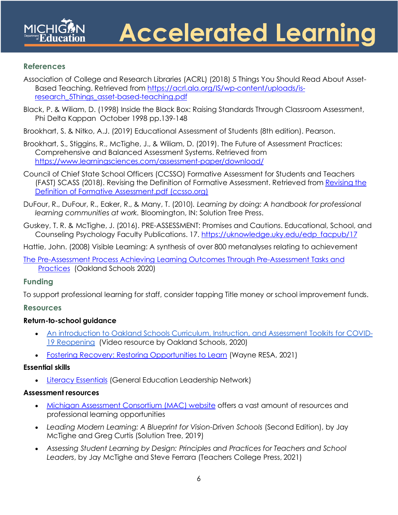#### **References**

Association of College and Research Libraries (ACRL) (2018) 5 Things You Should Read About Asset-Based Teaching. Retrieved from [https://acrl.ala.org/IS/wp-content/uploads/is](https://acrl.ala.org/IS/wp-content/uploads/is-research_5Things_asset-based-teaching.pdf)[research\\_5Things\\_asset-based-teaching.pdf](https://acrl.ala.org/IS/wp-content/uploads/is-research_5Things_asset-based-teaching.pdf)

Black, P. & Wiliam, D. (1998) Inside the Black Box: Raising Standards Through Classroom Assessment, Phi Delta Kappan October 1998 pp.139-148

Brookhart, S. & Nitko, A.J. (2019) Educational Assessment of Students (8th edition). Pearson.

Brookhart, S., Stiggins, R., McTighe, J., & Wiliam, D. (2019). The Future of Assessment Practices: Comprehensive and Balanced Assessment Systems. Retrieved from <https://www.learningsciences.com/assessment-paper/download/>

- Council of Chief State School Officers (CCSSO) Formative Assessment for Students and Teachers (FAST) SCASS (2018). Revising the Definition of Formative Assessment. Retrieved from [Revising the](https://www.ccsso.org/sites/default/files/2018-06/Revising%20the%20Definition%20of%20Formative%20Assessment.pdf)  [Definition of Formative Assessment.pdf \(ccsso.org\)](https://www.ccsso.org/sites/default/files/2018-06/Revising%20the%20Definition%20of%20Formative%20Assessment.pdf)
- DuFour, R., DuFour, R., Eaker, R., & Many, T. (2010)*. Learning by doing: A handbook for professional learning communities at work.* Bloomington, IN: Solution Tree Press.
- Guskey, T. R. & McTighe, J. (2016). PRE-ASSESSMENT: Promises and Cautions. Educational, School, and Counseling Psychology Faculty Publications. 17. [https://uknowledge.uky.edu/edp\\_facpub/17](https://uknowledge.uky.edu/edp_facpub/17)

Hattie, John. (2008) Visible Learning: A synthesis of over 800 metanalyses relating to achievement

[The Pre-Assessment Process Achieving Learning Outcomes Through Pre-Assessment Tasks and](https://drive.google.com/file/d/1tCytuRBipB4n2VBhlXRpWmbAiN-VhuVX/view?usp=sharing)  [Practices](https://drive.google.com/file/d/1tCytuRBipB4n2VBhlXRpWmbAiN-VhuVX/view?usp=sharing) (Oakland Schools 2020)

### **Funding**

To support professional learning for staff, consider tapping Title money or school improvement funds.

#### **Resources**

### **Return-to-school guidance**

- An introduction to Oakland [Schools Curriculum, Instruction, and Assessment Toolkits for COVID-](https://youtu.be/nNeD3F60ouk)[19 Reopening](https://youtu.be/nNeD3F60ouk) (Video resource by Oakland Schools, 2020)
- [Fostering Recovery: Restoring Opportunities to Learn](https://resources.finalsite.net/images/v1611939212/resanet/yrgvufjizkqokjn1e0pl/Fostering-Recovery-document-2021.pdf) (Wayne RESA, 2021)

#### **Essential skills**

• [Literacy Essentials](https://literacyessentials.org/) (General Education Leadership Network)

#### **Assessment resources**

- [Michigan Assessment Consortium \(MAC\) website](http://www.michiganassessmentconsortium.org/) offers a vast amount of resources and professional learning opportunities
- Leading Modern Learning: A Blueprint for Vision-Driven Schools (Second Edition), by Jay McTighe and Greg Curtis (Solution Tree, 2019)
- *Assessing Student Learning by Design: Principles and Practices for Teachers and School Leaders*, by [Jay McTighe](https://www.tcpress.com/jay-mctighe) and [Steve Ferrara](https://www.tcpress.com/steve-ferrara) (Teachers College Press, 2021)